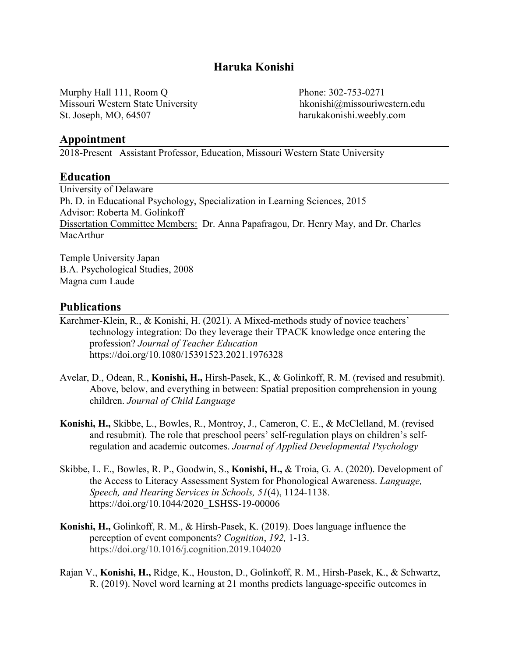# **Haruka Konishi**

Murphy Hall 111, Room Q Phone: 302-753-0271 Missouri Western State University hkonishi@missouriwestern.edu St. Joseph, MO, 64507 harukakonishi.weebly.com

### **Appointment**

2018-Present Assistant Professor, Education, Missouri Western State University

### **Education**

University of Delaware Ph. D. in Educational Psychology, Specialization in Learning Sciences, 2015 Advisor: Roberta M. Golinkoff Dissertation Committee Members: Dr. Anna Papafragou, Dr. Henry May, and Dr. Charles MacArthur

Temple University Japan B.A. Psychological Studies, 2008 Magna cum Laude

### **Publications**

- Karchmer-Klein, R., & Konishi, H. (2021). A Mixed-methods study of novice teachers' technology integration: Do they leverage their TPACK knowledge once entering the profession? *Journal of Teacher Education* <https://doi.org/10.1080/15391523.2021.1976328>
- Avelar, D., Odean, R., **Konishi, H.,** Hirsh-Pasek, K., & Golinkoff, R. M. (revised and resubmit). Above, below, and everything in between: Spatial preposition comprehension in young children. *Journal of Child Language*
- **Konishi, H.,** Skibbe, L., Bowles, R., Montroy, J., Cameron, C. E., & McClelland, M. (revised and resubmit). The role that preschool peers' self-regulation plays on children's selfregulation and academic outcomes. *Journal of Applied Developmental Psychology*
- Skibbe, L. E., Bowles, R. P., Goodwin, S., **Konishi, H.,** & Troia, G. A. (2020). Development of the Access to Literacy Assessment System for Phonological Awareness. *Language, Speech, and Hearing Services in Schools, 51*(4), 1124-1138. [https://doi.org/10.1044/2020\\_LSHSS-19-00006](https://doi.org/10.1044/2020_LSHSS-19-00006)
- **Konishi, H.,** Golinkoff, R. M., & Hirsh-Pasek, K. (2019). Does language influence the perception of event components? *Cognition*, *192,* 1-13. https://doi.org/10.1016/j.cognition.2019.104020
- Rajan V., **Konishi, H.,** Ridge, K., Houston, D., Golinkoff, R. M., Hirsh-Pasek, K., & Schwartz, R. (2019). Novel word learning at 21 months predicts language-specific outcomes in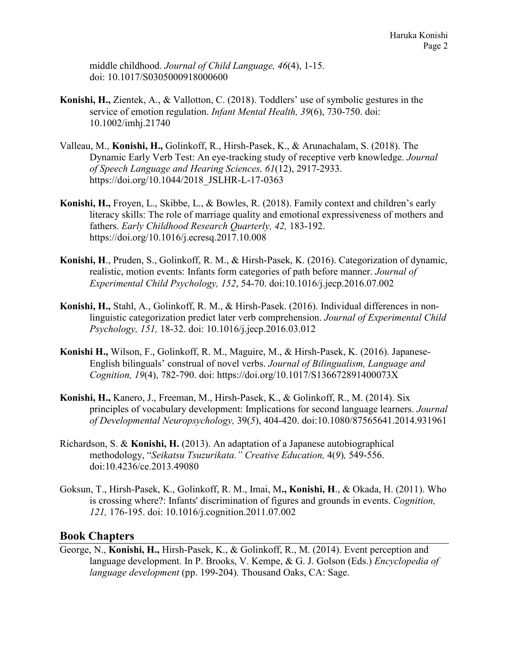middle childhood. *Journal of Child Language, 46*(4), 1-15. doi: [10.1017/S0305000918000600](https://dx.doi.org/10.1017%2FS0305000918000600)

- **Konishi, H.,** Zientek, A., & Vallotton, C. (2018). Toddlers' use of symbolic gestures in the service of emotion regulation. *Infant Mental Health, 39*(6), 730-750. doi: 10.1002/imhj.21740
- Valleau, M., **Konishi, H.,** Golinkoff, R., Hirsh-Pasek, K., & Arunachalam, S. (2018). The Dynamic Early Verb Test: An eye-tracking study of receptive verb knowledge. *Journal of Speech Language and Hearing Sciences, 61*(12), 2917-2933. https://doi.org/10.1044/2018 JSLHR-L-17-0363
- **Konishi, H.,** Froyen, L., Skibbe, L., & Bowles, R. (2018). Family context and children's early literacy skills: The role of marriage quality and emotional expressiveness of mothers and fathers. *Early Childhood Research Quarterly, 42,* 183-192. <https://doi.org/10.1016/j.ecresq.2017.10.008>
- **Konishi, H**., Pruden, S., Golinkoff, R. M., & Hirsh-Pasek, K. (2016). Categorization of dynamic, realistic, motion events: Infants form categories of path before manner. *Journal of Experimental Child Psychology, 152*, 54-70. [doi:10.1016/j.jecp.2016.07.002](http://dx.doi.org/10.1016/j.jecp.2016.07.002)
- **Konishi, H.,** Stahl, A., Golinkoff, R. M., & Hirsh-Pasek. (2016). Individual differences in nonlinguistic categorization predict later verb comprehension. *Journal of Experimental Child Psychology, 151,* 18-32. doi: 10.1016/j.jecp.2016.03.012
- **Konishi H.,** Wilson, F., Golinkoff, R. M., Maguire, M., & Hirsh-Pasek, K. (2016). Japanese-English bilinguals' construal of novel verbs. *Journal of Bilingualism, Language and Cognition, 19*(4), 782-790. doi: <https://doi.org/10.1017/S136672891400073X>
- **Konishi, H.,** Kanero, J., Freeman, M., Hirsh-Pasek, K., & Golinkoff, R., M. (2014). Six principles of vocabulary development: Implications for second language learners. *Journal of Developmental Neuropsychology,* 39(*5*), 404-420. doi[:10.1080/87565641.2014.931961](https://doi.org/10.1080/87565641.2014.931961)
- Richardson, S. & **Konishi, H.** (2013). An adaptation of a Japanese autobiographical methodology, "*Seikatsu Tsuzurikata." Creative Education,* 4(*9*)*,* 549-556. doi[:10.4236/ce.2013.49080](https://www.researchgate.net/deref/http%3A%2F%2Fdx.doi.org%2F10.4236%2Fce.2013.49080?_sg%5B0%5D=0KFhKqzmoA67iNPxbplFeLSdHrzogbokadNS0Vmfy5-4s4MskuasxMB5GIR-8jXJ0raCIbvOTRFC3lAJ4YczUeu9zw.lSVAuHJrzdI51z4z5j4ewwLkoj-wJARchQo9P2I0_3xUVUohBZu1LrShr_ZkqKqbRi8VD7jYdNvVugy4NgJ4xw)
- Goksun, T., Hirsh-Pasek, K., Golinkoff, R. M., Imai, M**., Konishi, H**., & Okada, H. (2011). Who is crossing where?: Infants' discrimination of figures and grounds in events. *Cognition, 121,* 176-195. doi: [10.1016/j.cognition.2011.07.002](https://dx.doi.org/10.1016%2Fj.cognition.2011.07.002)

### **Book Chapters**

George, N., **Konishi, H.,** Hirsh-Pasek, K., & Golinkoff, R., M. (2014). Event perception and language development. In P. Brooks, V. Kempe, & G. J. Golson (Eds.) *Encyclopedia of language development* (pp. 199-204). Thousand Oaks, CA: Sage.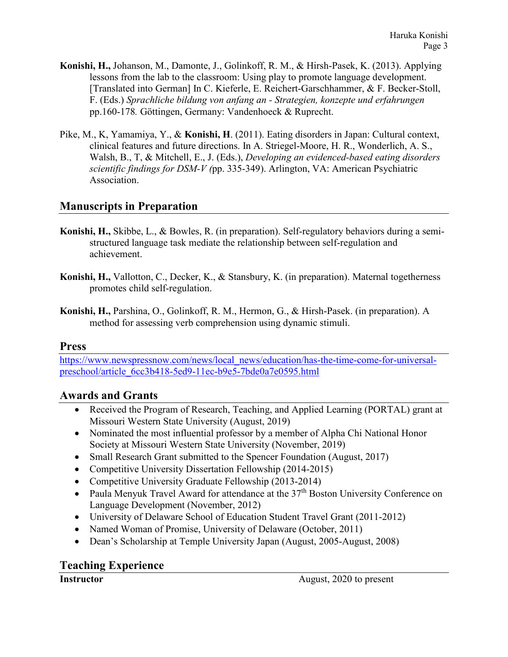- **Konishi, H.,** Johanson, M., Damonte, J., Golinkoff, R. M., & Hirsh-Pasek, K. (2013). Applying lessons from the lab to the classroom: Using play to promote language development. [Translated into German] In C. Kieferle, E. Reichert-Garschhammer, & F. Becker-Stoll, F. (Eds.) *Sprachliche bildung von anfang an - Strategien, konzepte und erfahrungen*  pp.160-178*.* Göttingen, Germany: Vandenhoeck & Ruprecht.
- Pike, M., K, Yamamiya, Y., & **Konishi, H**. (2011). Eating disorders in Japan: Cultural context, clinical features and future directions. In A. Striegel-Moore, H. R., Wonderlich, A. S., Walsh, B., T, & Mitchell, E., J. (Eds.), *Developing an evidenced-based eating disorders scientific findings for DSM-V (*pp. 335-349). Arlington, VA: American Psychiatric Association.

# **Manuscripts in Preparation**

- **Konishi, H.,** Skibbe, L., & Bowles, R. (in preparation). Self-regulatory behaviors during a semistructured language task mediate the relationship between self-regulation and achievement.
- **Konishi, H.,** Vallotton, C., Decker, K., & Stansbury, K. (in preparation). Maternal togetherness promotes child self-regulation.
- **Konishi, H.,** Parshina, O., Golinkoff, R. M., Hermon, G., & Hirsh-Pasek. (in preparation). A method for assessing verb comprehension using dynamic stimuli.

## **Press**

[https://www.newspressnow.com/news/local\\_news/education/has-the-time-come-for-universal](https://www.newspressnow.com/news/local_news/education/has-the-time-come-for-universal-preschool/article_6cc3b418-5ed9-11ec-b9e5-7bde0a7e0595.html)[preschool/article\\_6cc3b418-5ed9-11ec-b9e5-7bde0a7e0595.html](https://www.newspressnow.com/news/local_news/education/has-the-time-come-for-universal-preschool/article_6cc3b418-5ed9-11ec-b9e5-7bde0a7e0595.html)

## **Awards and Grants**

- Received the Program of Research, Teaching, and Applied Learning (PORTAL) grant at Missouri Western State University (August, 2019)
- Nominated the most influential professor by a member of Alpha Chi National Honor Society at Missouri Western State University (November, 2019)
- Small Research Grant submitted to the Spencer Foundation (August, 2017)
- Competitive University Dissertation Fellowship (2014-2015)
- Competitive University Graduate Fellowship (2013-2014)
- Paula Menyuk Travel Award for attendance at the 37<sup>th</sup> Boston University Conference on Language Development (November, 2012)
- University of Delaware School of Education Student Travel Grant (2011-2012)
- Named Woman of Promise, University of Delaware (October, 2011)
- Dean's Scholarship at Temple University Japan (August, 2005-August, 2008)

# **Teaching Experience**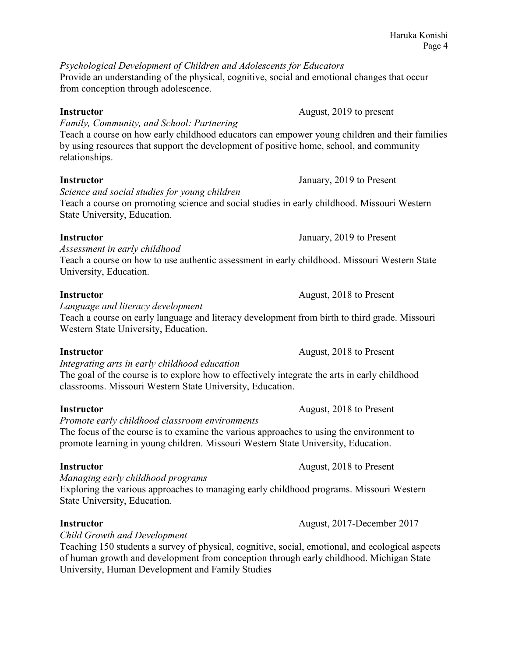*Psychological Development of Children and Adolescents for Educators* Provide an understanding of the physical, cognitive, social and emotional changes that occur from conception through adolescence.

*Family, Community, and School: Partnering*

Teach a course on how early childhood educators can empower young children and their families by using resources that support the development of positive home, school, and community relationships.

# **Instructor** January, 2019 to Present

*Science and social studies for young children* Teach a course on promoting science and social studies in early childhood. Missouri Western State University, Education.

*Assessment in early childhood* 

Teach a course on how to use authentic assessment in early childhood. Missouri Western State University, Education.

# **Instructor** August, 2018 to Present

*Language and literacy development* 

Teach a course on early language and literacy development from birth to third grade. Missouri Western State University, Education.

*Integrating arts in early childhood education*

The goal of the course is to explore how to effectively integrate the arts in early childhood classrooms. Missouri Western State University, Education.

*Promote early childhood classroom environments*

The focus of the course is to examine the various approaches to using the environment to promote learning in young children. Missouri Western State University, Education.

*Managing early childhood programs*

Exploring the various approaches to managing early childhood programs. Missouri Western State University, Education.

*Child Growth and Development* 

Teaching 150 students a survey of physical, cognitive, social, emotional, and ecological aspects of human growth and development from conception through early childhood. Michigan State University, Human Development and Family Studies

**Instructor** August, 2018 to Present

**Instructor** August, 2018 to Present

# **Instructor** January, 2019 to Present

# **Instructor** August, 2018 to Present

**Instructor** August, 2017-December 2017

# **Instructor** August, 2019 to present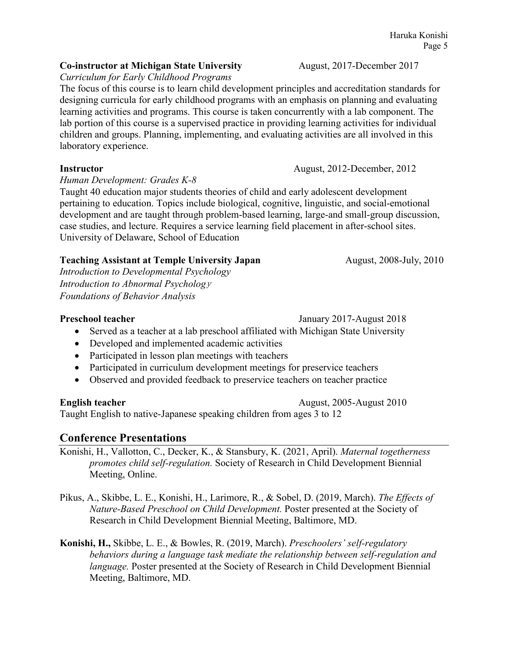# **Co-instructor at Michigan State University August, 2017-December 2017**

# *Curriculum for Early Childhood Programs*

The focus of this course is to learn child development principles and accreditation standards for designing curricula for early childhood programs with an emphasis on planning and evaluating learning activities and programs. This course is taken concurrently with a lab component. The lab portion of this course is a supervised practice in providing learning activities for individual children and groups. Planning, implementing, and evaluating activities are all involved in this laboratory experience.

## **Instructor August, 2012-December, 2012**

## *Human Development: Grades K-8*

Taught 40 education major students theories of child and early adolescent development pertaining to education. Topics include biological, cognitive, linguistic, and social-emotional development and are taught through problem-based learning, large-and small-group discussion, case studies, and lecture. Requires a service learning field placement in after-school sites. University of Delaware, School of Education

# **Teaching Assistant at Temple University Japan Manual August, 2008-July, 2010**

*Introduction to Developmental Psychology Introduction to Abnormal Psycholog*<sup>y</sup> *Foundations of Behavior Analysis*

**Preschool teacher** January 2017-August 2018

- Served as a teacher at a lab preschool affiliated with Michigan State University
- Developed and implemented academic activities
- Participated in lesson plan meetings with teachers
- Participated in curriculum development meetings for preservice teachers
- Observed and provided feedback to preservice teachers on teacher practice

**English teacher** August, 2005-August 2010

Taught English to native-Japanese speaking children from ages 3 to 12

# **Conference Presentations**

- Konishi, H., Vallotton, C., Decker, K., & Stansbury, K. (2021, April). *Maternal togetherness promotes child self-regulation.* Society of Research in Child Development Biennial Meeting, Online.
- Pikus, A., Skibbe, L. E., Konishi, H., Larimore, R., & Sobel, D. (2019, March). *The Effects of Nature-Based Preschool on Child Development.* Poster presented at the Society of Research in Child Development Biennial Meeting, Baltimore, MD.

**Konishi, H.,** Skibbe, L. E., & Bowles, R. (2019, March). *Preschoolers' self-regulatory behaviors during a language task mediate the relationship between self-regulation and language.* Poster presented at the Society of Research in Child Development Biennial Meeting, Baltimore, MD.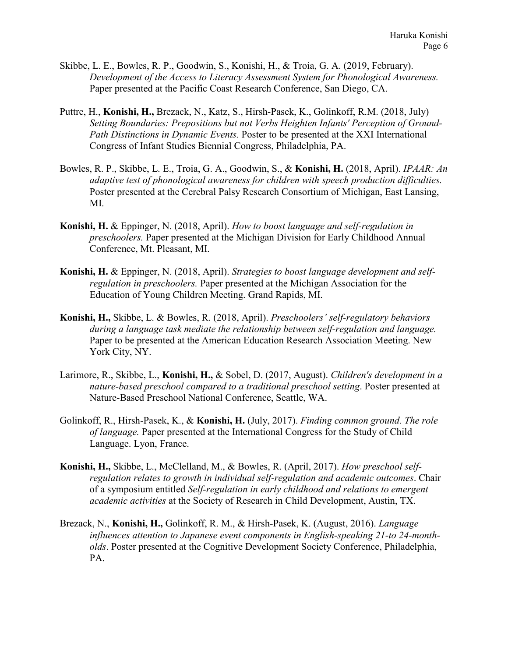- Skibbe, L. E., Bowles, R. P., Goodwin, S., Konishi, H., & Troia, G. A. (2019, February). *Development of the Access to Literacy Assessment System for Phonological Awareness.*  Paper presented at the Pacific Coast Research Conference, San Diego, CA.
- Puttre, H., **Konishi, H.,** Brezack, N., Katz, S., Hirsh-Pasek, K., Golinkoff, R.M. (2018, July) *Setting Boundaries: Prepositions but not Verbs Heighten Infants' Perception of Ground-Path Distinctions in Dynamic Events.* Poster to be presented at the XXI International Congress of Infant Studies Biennial Congress, Philadelphia, PA.
- Bowles, R. P., Skibbe, L. E., Troia, G. A., Goodwin, S., & **Konishi, H.** (2018, April). *IPAAR: An adaptive test of phonological awareness for children with speech production difficulties.* Poster presented at the Cerebral Palsy Research Consortium of Michigan, East Lansing, MI.
- **Konishi, H.** & Eppinger, N. (2018, April). *How to boost language and self-regulation in preschoolers.* Paper presented at the Michigan Division for Early Childhood Annual Conference, Mt. Pleasant, MI.
- **Konishi, H.** & Eppinger, N. (2018, April). *Strategies to boost language development and selfregulation in preschoolers.* Paper presented at the Michigan Association for the Education of Young Children Meeting. Grand Rapids, MI.
- **Konishi, H.,** Skibbe, L. & Bowles, R. (2018, April). *Preschoolers' self-regulatory behaviors during a language task mediate the relationship between self-regulation and language.* Paper to be presented at the American Education Research Association Meeting. New York City, NY.
- Larimore, R., Skibbe, L., **Konishi, H.,** & Sobel, D. (2017, August). *Children's development in a nature-based preschool compared to a traditional preschool setting*. Poster presented at Nature-Based Preschool National Conference, Seattle, WA.
- Golinkoff, R., Hirsh-Pasek, K., & **Konishi, H.** (July, 2017). *Finding common ground. The role of language.* Paper presented at the International Congress for the Study of Child Language. Lyon, France.
- **Konishi, H.,** Skibbe, L., McClelland, M., & Bowles, R. (April, 2017). *How preschool selfregulation relates to growth in individual self-regulation and academic outcomes*. Chair of a symposium entitled *Self-regulation in early childhood and relations to emergent academic activities* at the Society of Research in Child Development, Austin, TX.
- Brezack, N., **Konishi, H.,** Golinkoff, R. M., & Hirsh-Pasek, K. (August, 2016). *Language influences attention to Japanese event components in English-speaking 21-to 24-montholds*. Poster presented at the Cognitive Development Society Conference, Philadelphia, PA.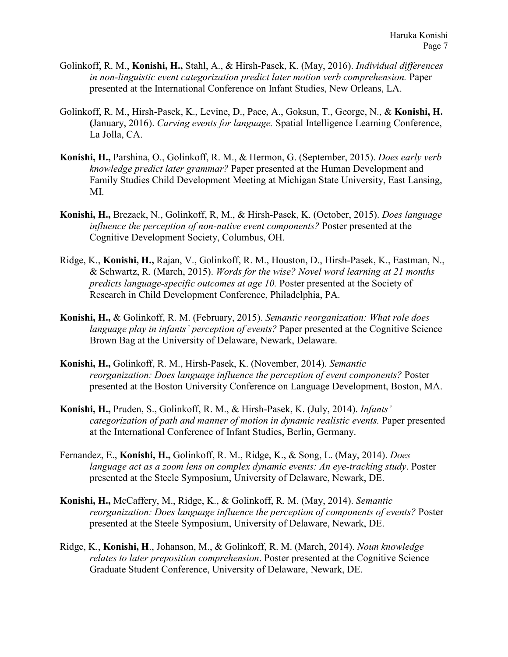- Golinkoff, R. M., **Konishi, H.,** Stahl, A., & Hirsh-Pasek, K. (May, 2016). *Individual differences in non-linguistic event categorization predict later motion verb comprehension.* Paper presented at the International Conference on Infant Studies, New Orleans, LA.
- Golinkoff, R. M., Hirsh-Pasek, K., Levine, D., Pace, A., Goksun, T., George, N., & **Konishi, H. (**January, 2016). *Carving events for language.* Spatial Intelligence Learning Conference, La Jolla, CA.
- **Konishi, H.,** Parshina, O., Golinkoff, R. M., & Hermon, G. (September, 2015). *Does early verb knowledge predict later grammar?* Paper presented at the Human Development and Family Studies Child Development Meeting at Michigan State University, East Lansing, MI.
- **Konishi, H.,** Brezack, N., Golinkoff, R, M., & Hirsh-Pasek, K. (October, 2015). *Does language influence the perception of non-native event components?* Poster presented at the Cognitive Development Society, Columbus, OH.
- Ridge, K., **Konishi, H.,** Rajan, V., Golinkoff, R. M., Houston, D., Hirsh-Pasek, K., Eastman, N., & Schwartz, R. (March, 2015). *Words for the wise? Novel word learning at 21 months predicts language-specific outcomes at age 10.* Poster presented at the Society of Research in Child Development Conference, Philadelphia, PA.
- **Konishi, H.,** & Golinkoff, R. M. (February, 2015). *Semantic reorganization: What role does language play in infants' perception of events?* Paper presented at the Cognitive Science Brown Bag at the University of Delaware, Newark, Delaware.
- **Konishi, H.,** Golinkoff, R. M., Hirsh-Pasek, K. (November, 2014). *Semantic reorganization: Does language influence the perception of event components?* Poster presented at the Boston University Conference on Language Development, Boston, MA.
- **Konishi, H.,** Pruden, S., Golinkoff, R. M., & Hirsh-Pasek, K. (July, 2014). *Infants' categorization of path and manner of motion in dynamic realistic events.* Paper presented at the International Conference of Infant Studies, Berlin, Germany.
- Fernandez, E., **Konishi, H.,** Golinkoff, R. M., Ridge, K., & Song, L. (May, 2014). *Does language act as a zoom lens on complex dynamic events: An eye-tracking study*. Poster presented at the Steele Symposium, University of Delaware, Newark, DE.
- **Konishi, H.,** McCaffery, M., Ridge, K., & Golinkoff, R. M. (May, 2014). *Semantic reorganization: Does language influence the perception of components of events?* Poster presented at the Steele Symposium, University of Delaware, Newark, DE.
- Ridge, K., **Konishi, H**., Johanson, M., & Golinkoff, R. M. (March, 2014). *Noun knowledge relates to later preposition comprehension*. Poster presented at the Cognitive Science Graduate Student Conference, University of Delaware, Newark, DE.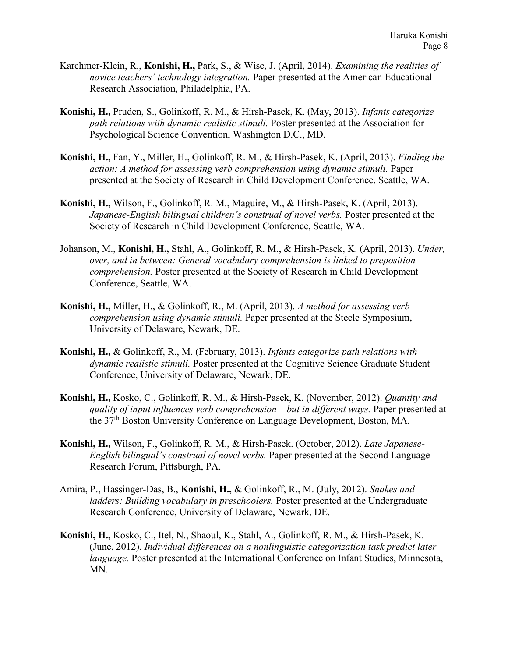- Karchmer-Klein, R., **Konishi, H.,** Park, S., & Wise, J. (April, 2014). *Examining the realities of novice teachers' technology integration.* Paper presented at the American Educational Research Association, Philadelphia, PA.
- **Konishi, H.,** Pruden, S., Golinkoff, R. M., & Hirsh-Pasek, K. (May, 2013). *Infants categorize path relations with dynamic realistic stimuli.* Poster presented at the Association for Psychological Science Convention, Washington D.C., MD.
- **Konishi, H.,** Fan, Y., Miller, H., Golinkoff, R. M., & Hirsh-Pasek, K. (April, 2013). *Finding the action: A method for assessing verb comprehension using dynamic stimuli.* Paper presented at the Society of Research in Child Development Conference, Seattle, WA.
- **Konishi, H.,** Wilson, F., Golinkoff, R. M., Maguire, M., & Hirsh-Pasek, K. (April, 2013). *Japanese-English bilingual children's construal of novel verbs.* Poster presented at the Society of Research in Child Development Conference, Seattle, WA.
- Johanson, M., **Konishi, H.,** Stahl, A., Golinkoff, R. M., & Hirsh-Pasek, K. (April, 2013). *Under, over, and in between: General vocabulary comprehension is linked to preposition comprehension.* Poster presented at the Society of Research in Child Development Conference, Seattle, WA.
- **Konishi, H.,** Miller, H., & Golinkoff, R., M. (April, 2013). *A method for assessing verb comprehension using dynamic stimuli.* Paper presented at the Steele Symposium, University of Delaware, Newark, DE.
- **Konishi, H.,** & Golinkoff, R., M. (February, 2013). *Infants categorize path relations with dynamic realistic stimuli.* Poster presented at the Cognitive Science Graduate Student Conference, University of Delaware, Newark, DE.
- **Konishi, H.,** Kosko, C., Golinkoff, R. M., & Hirsh-Pasek, K. (November, 2012). *Quantity and quality of input influences verb comprehension – but in different ways.* Paper presented at the 37th Boston University Conference on Language Development, Boston, MA.
- **Konishi, H.,** Wilson, F., Golinkoff, R. M., & Hirsh-Pasek. (October, 2012). *Late Japanese-English bilingual's construal of novel verbs.* Paper presented at the Second Language Research Forum, Pittsburgh, PA.
- Amira, P., Hassinger-Das, B., **Konishi, H.,** & Golinkoff, R., M. (July, 2012). *Snakes and ladders: Building vocabulary in preschoolers.* Poster presented at the Undergraduate Research Conference, University of Delaware, Newark, DE.
- **Konishi, H.,** Kosko, C., Itel, N., Shaoul, K., Stahl, A., Golinkoff, R. M., & Hirsh-Pasek, K. (June, 2012). *Individual differences on a nonlinguistic categorization task predict later language.* Poster presented at the International Conference on Infant Studies, Minnesota, MN.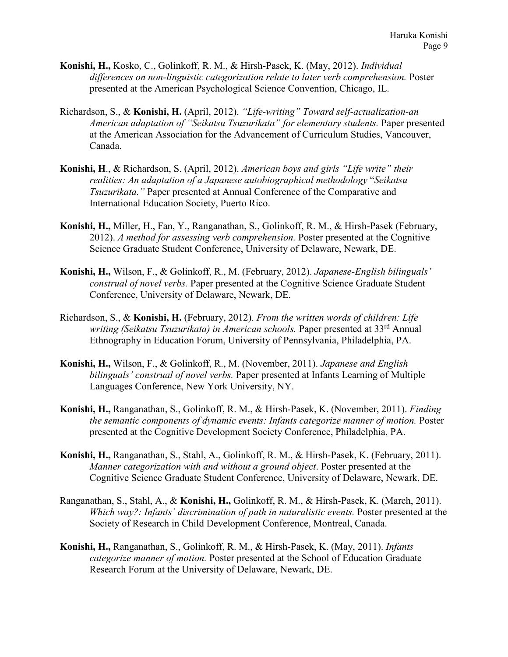- **Konishi, H.,** Kosko, C., Golinkoff, R. M., & Hirsh-Pasek, K. (May, 2012). *Individual differences on non-linguistic categorization relate to later verb comprehension.* Poster presented at the American Psychological Science Convention, Chicago, IL.
- Richardson, S., & **Konishi, H.** (April, 2012). *"Life-writing" Toward self-actualization-an American adaptation of "Seikatsu Tsuzurikata" for elementary students.* Paper presented at the American Association for the Advancement of Curriculum Studies, Vancouver, Canada.
- **Konishi, H**., & Richardson, S. (April, 2012). *American boys and girls "Life write" their realities: An adaptation of a Japanese autobiographical methodology* "*Seikatsu Tsuzurikata."* Paper presented at Annual Conference of the Comparative and International Education Society, Puerto Rico.
- **Konishi, H.,** Miller, H., Fan, Y., Ranganathan, S., Golinkoff, R. M., & Hirsh-Pasek (February, 2012). *A method for assessing verb comprehension.* Poster presented at the Cognitive Science Graduate Student Conference, University of Delaware, Newark, DE.
- **Konishi, H.,** Wilson, F., & Golinkoff, R., M. (February, 2012). *Japanese-English bilinguals' construal of novel verbs.* Paper presented at the Cognitive Science Graduate Student Conference, University of Delaware, Newark, DE.
- Richardson, S., & **Konishi, H.** (February, 2012). *From the written words of children: Life*  writing (Seikatsu Tsuzurikata) in American schools. Paper presented at 33<sup>rd</sup> Annual Ethnography in Education Forum, University of Pennsylvania, Philadelphia, PA.
- **Konishi, H.,** Wilson, F., & Golinkoff, R., M. (November, 2011). *Japanese and English bilinguals' construal of novel verbs.* Paper presented at Infants Learning of Multiple Languages Conference, New York University, NY.
- **Konishi, H.,** Ranganathan, S., Golinkoff, R. M., & Hirsh-Pasek, K. (November, 2011). *Finding the semantic components of dynamic events: Infants categorize manner of motion.* Poster presented at the Cognitive Development Society Conference, Philadelphia, PA.
- **Konishi, H.,** Ranganathan, S., Stahl, A., Golinkoff, R. M., & Hirsh-Pasek, K. (February, 2011). *Manner categorization with and without a ground object*. Poster presented at the Cognitive Science Graduate Student Conference, University of Delaware, Newark, DE.
- Ranganathan, S., Stahl, A., & **Konishi, H.,** Golinkoff, R. M., & Hirsh-Pasek, K. (March, 2011). *Which way?: Infants' discrimination of path in naturalistic events.* Poster presented at the Society of Research in Child Development Conference, Montreal, Canada.
- **Konishi, H.,** Ranganathan, S., Golinkoff, R. M., & Hirsh-Pasek, K. (May, 2011). *Infants categorize manner of motion.* Poster presented at the School of Education Graduate Research Forum at the University of Delaware, Newark, DE.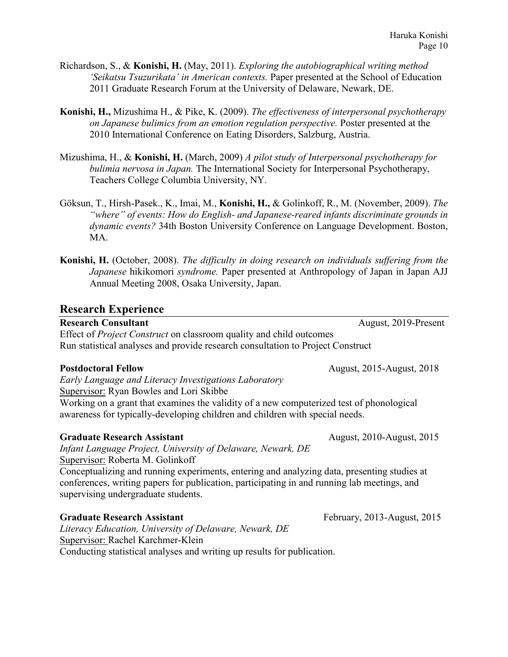- Richardson, S., & **Konishi, H.** (May, 2011). *Exploring the autobiographical writing method 'Seikatsu Tsuzurikata' in American contexts.* Paper presented at the School of Education 2011 Graduate Research Forum at the University of Delaware, Newark, DE.
- **Konishi, H.,** Mizushima H., & Pike, K. (2009). *The effectiveness of interpersonal psychotherapy on Japanese bulimics from an emotion regulation perspective.* Poster presented at the 2010 International Conference on Eating Disorders, Salzburg, Austria.
- Mizushima, H., & **Konishi, H.** (March, 2009) *A pilot study of Interpersonal psychotherapy for bulimia nervosa in Japan.* The International Society for Interpersonal Psychotherapy, Teachers College Columbia University, NY.
- Göksun, T., Hirsh-Pasek., K., Imai, M., **Konishi, H.,** & Golinkoff, R., M. (November, 2009). *The "where" of events: How do English- and Japanese-reared infants discriminate grounds in dynamic events?* 34th Boston University Conference on Language Development. Boston, MA.
- **Konishi, H.** (October, 2008). *The difficulty in doing research on individuals suffering from the Japanese* hikikomori *syndrome.* Paper presented at Anthropology of Japan in Japan AJJ Annual Meeting 2008, Osaka University, Japan.

# **Research Experience**

### **Research Consultant August, 2019-Present**

Effect of *Project Construct* on classroom quality and child outcomes Run statistical analyses and provide research consultation to Project Construct

### **Postdoctoral Fellow** August, 2015-August, 2018

*Early Language and Literacy Investigations Laboratory* 

Supervisor: Ryan Bowles and Lori Skibbe

Working on a grant that examines the validity of a new computerized test of phonological awareness for typically-developing children and children with special needs.

## Graduate Research Assistant **August, 2010-August, 2015**

*Infant Language Project, University of Delaware, Newark, DE* Supervisor: Roberta M. Golinkoff

Conceptualizing and running experiments, entering and analyzing data, presenting studies at conferences, writing papers for publication, participating in and running lab meetings, and supervising undergraduate students.

## **Graduate Research Assistant** February, 2013-August, 2015

*Literacy Education, University of Delaware, Newark, DE*  Supervisor: Rachel Karchmer-Klein Conducting statistical analyses and writing up results for publication.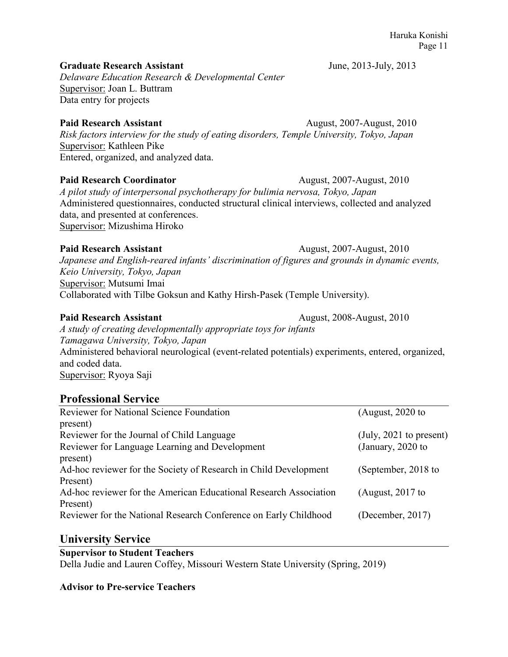### **Graduate Research Assistant** June, 2013-July, 2013

*Delaware Education Research & Developmental Center* Supervisor: Joan L. Buttram Data entry for projects

### Paid Research Assistant **August, 2007-August, 2010**

*Risk factors interview for the study of eating disorders, Temple University, Tokyo, Japan* Supervisor: Kathleen Pike Entered, organized, and analyzed data.

### Paid Research Coordinator **August, 2007-August, 2010**

*A pilot study of interpersonal psychotherapy for bulimia nervosa, Tokyo, Japan* Administered questionnaires, conducted structural clinical interviews, collected and analyzed data, and presented at conferences. Supervisor: Mizushima Hiroko

### **Paid Research Assistant August, 2007-August, 2010**

*Japanese and English-reared infants' discrimination of figures and grounds in dynamic events, Keio University, Tokyo, Japan* Supervisor: Mutsumi Imai Collaborated with Tilbe Goksun and Kathy Hirsh-Pasek (Temple University).

*A study of creating developmentally appropriate toys for infants Tamagawa University, Tokyo, Japan* Administered behavioral neurological (event-related potentials) experiments, entered, organized, and coded data. Supervisor: Ryoya Saji

# **Professional Service**

| <b>Reviewer for National Science Foundation</b>                   | (August, $2020$ to      |
|-------------------------------------------------------------------|-------------------------|
| present)                                                          |                         |
| Reviewer for the Journal of Child Language                        | (July, 2021 to present) |
| Reviewer for Language Learning and Development                    | (January, 2020 to       |
| present)                                                          |                         |
| Ad-hoc reviewer for the Society of Research in Child Development  | (September, 2018 to     |
| Present)                                                          |                         |
| Ad-hoc reviewer for the American Educational Research Association | (August, $2017$ to      |
| Present)                                                          |                         |
| Reviewer for the National Research Conference on Early Childhood  | (December, $2017$ )     |
|                                                                   |                         |

## **University Service**

### **Supervisor to Student Teachers**

Della Judie and Lauren Coffey, Missouri Western State University (Spring, 2019)

### **Advisor to Pre-service Teachers**

Paid Research Assistant **August, 2008-August, 2010**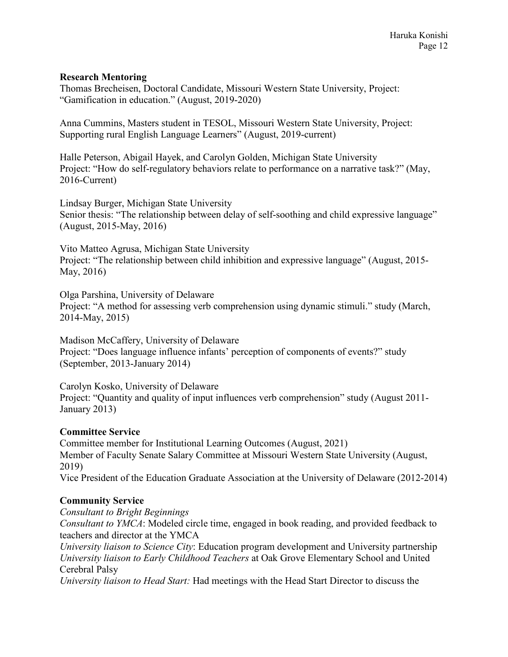### **Research Mentoring**

Thomas Brecheisen, Doctoral Candidate, Missouri Western State University, Project: "Gamification in education." (August, 2019-2020)

Anna Cummins, Masters student in TESOL, Missouri Western State University, Project: Supporting rural English Language Learners" (August, 2019-current)

Halle Peterson, Abigail Hayek, and Carolyn Golden, Michigan State University Project: "How do self-regulatory behaviors relate to performance on a narrative task?" (May, 2016-Current)

Lindsay Burger, Michigan State University Senior thesis: "The relationship between delay of self-soothing and child expressive language" (August, 2015-May, 2016)

Vito Matteo Agrusa, Michigan State University Project: "The relationship between child inhibition and expressive language" (August, 2015- May, 2016)

Olga Parshina, University of Delaware Project: "A method for assessing verb comprehension using dynamic stimuli." study (March, 2014-May, 2015)

Madison McCaffery, University of Delaware Project: "Does language influence infants' perception of components of events?" study (September, 2013-January 2014)

Carolyn Kosko, University of Delaware Project: "Quantity and quality of input influences verb comprehension" study (August 2011- January 2013)

### **Committee Service**

Committee member for Institutional Learning Outcomes (August, 2021) Member of Faculty Senate Salary Committee at Missouri Western State University (August, 2019)

Vice President of the Education Graduate Association at the University of Delaware (2012-2014)

### **Community Service**

*Consultant to Bright Beginnings*

*Consultant to YMCA*: Modeled circle time, engaged in book reading, and provided feedback to teachers and director at the YMCA

*University liaison to Science City*: Education program development and University partnership *University liaison to Early Childhood Teachers* at Oak Grove Elementary School and United Cerebral Palsy

*University liaison to Head Start:* Had meetings with the Head Start Director to discuss the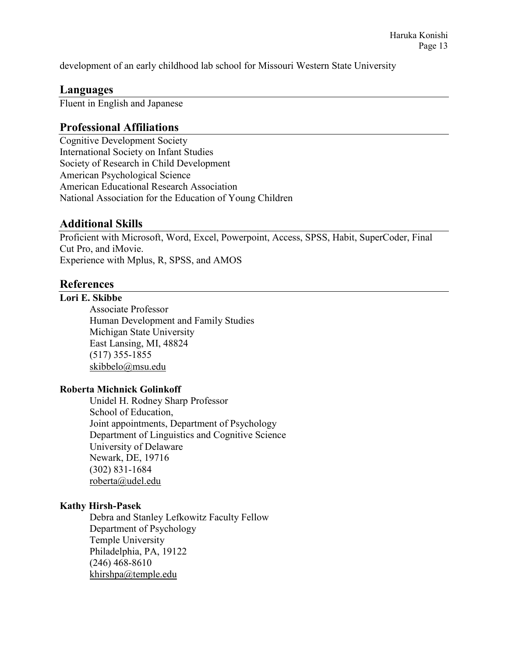development of an early childhood lab school for Missouri Western State University

### **Languages**

Fluent in English and Japanese

### **Professional Affiliations**

Cognitive Development Society International Society on Infant Studies Society of Research in Child Development American Psychological Science American Educational Research Association National Association for the Education of Young Children

### **Additional Skills**

Proficient with Microsoft, Word, Excel, Powerpoint, Access, SPSS, Habit, SuperCoder, Final Cut Pro, and iMovie. Experience with Mplus, R, SPSS, and AMOS

# **References**

**Lori E. Skibbe** 

Associate Professor Human Development and Family Studies Michigan State University East Lansing, MI, 48824 (517) 355-1855 skibbelo@msu.edu

### **Roberta Michnick Golinkoff**

Unidel H. Rodney Sharp Professor School of Education, Joint appointments, Department of Psychology Department of Linguistics and Cognitive Science University of Delaware Newark, DE, 19716 (302) 831-1684 [roberta@udel.edu](mailto:roberta@udel.edu)

### **Kathy Hirsh-Pasek**

Debra and Stanley Lefkowitz Faculty Fellow Department of Psychology Temple University Philadelphia, PA, 19122 (246) 468-8610 [khirshpa@temple.edu](mailto:khirshpa@temple.edu)